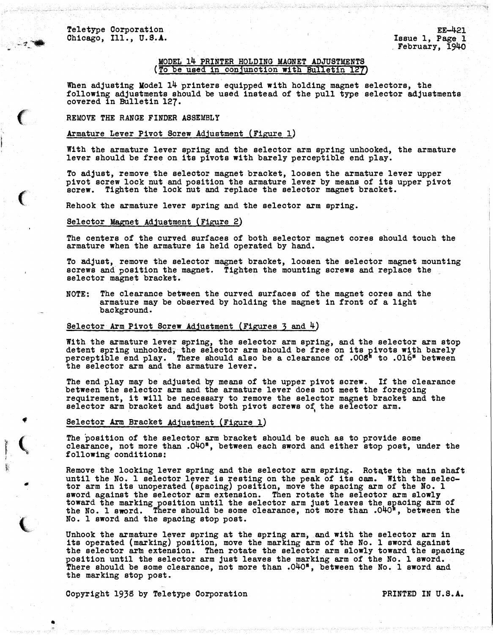-71\_.

 $\epsilon$ 

 $\big($ 

•

.,

 $\overline{\mathbf{C}}$ 

•

 $\overline{C}$ 

>:

## MODEL 14 PRINTER HOLDING MAGNET ADJUSTMENTS (To be used in conjunction with Bulletin 127)

When adjusting Model 14 printers equipped with holding magnet selectors, the following adjustments should be used instead of the pull type selector adjustments covered in Bulletin 127.

### REMOVE THE RANGE FINDER ASSEMBLY

### Armature Lever Pivot Screw Adjustment (Figure 1)

With the armature lever spring and the selector arm spring unhooked, the armature lever should be free on its pivots with barely perceptible end play.

To adjust, remove the selector magnet bracket, loosen the armature lever upper pivot screw lock nut and position the armature lever by means of its upper pivot screw. Tighten the lock nut and replace the selector magnet bracket.

Rehook the armature lever spring and the selector arm spring.

#### Selector Magnet Adjustment (Figure 2)

The centers of the curved surfaces of both selector magnet cores should touch the armature when the armature is held operated by hand.

To adjust, remove the selector magnet bracket, loosen the selector magnet mounting screws and position the magnet. Tighten the mounting screws and replace the selector magnet bracket.

NOTE: The clearance between the curved surfaces of the magnet cores and the armature may be observed by holding the magnet in front of a light background.

### Selector Arm Pivot Screw Adjustment (Figures 3 and 4)

With the armature lever spring, the selector arm spring, and the selector arm stop detent spring unhooked, the selector arm should be free on its pivots with barely<br>perceptible end play. There should also be a clearance of .008" to .016" between the selector arm and the armature lever.

The end play may be adjusted by means of the upper pivot screw. If the clearance between the selector arm and the armature lever does not meet the foregoing requirement, it will be necessary to remove the selector magnet bracket and the selector arm bracket and adjust both pivot screws of the selector arm.

#### Selector Arm Bracket Adjustment (Figure 1)

The position of the selector arm bracket should be such as to provide some clearance, not more than . 040<sup>#</sup>, between each sword and either stop post, under the following conditions:

Remove the locking lever spring and the selector arm spring. Rotate the main shaft until the No. 1 selector lever is resting on the peak of its cam. With the selector arm in its unoperated (spacing) position, move the spacing arm of the No. 1 sword against the selector arm extension. Then rotate the selector arm slowly toward the marking position until the selector arm just leaves the spacing arm of<br>the No. 1 sword. There should be some clearance, not more than .040<sup>#</sup>, between the No. 1 sword and the spacing stop post.

Unhook the armature lever spring at the spring arm, and with the selector arm in its operated (marking) position, move the marking arm of the No. 1 sword against the selector arm extension. Then rotate the selector arm slowly toward the spacing position until the selector arm just leaves the marking arm of the No. 1 sword. There should be some clearance, not more than .040\*, between the No. 1 sword and the marking stop post.

Copyright 1938 by Teletype Corporation **PRINTED** IN U.S.A.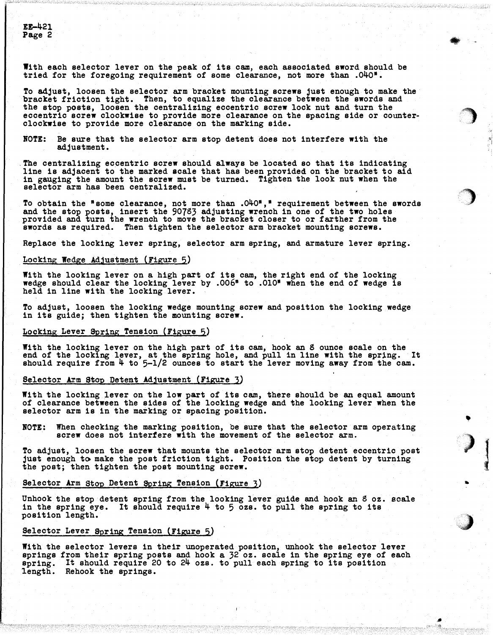With each selector lever on the peak of its cam, each associated sword should be tried for the foregoing requirement of some clearance, not more than  $.040$ <sup>\*</sup>.

To adjust, loosen the selector arm bracket mounting screws just enough to make the bracket friction tight. Then, to equalize the clearance between the swords and the stop posts, loosen the centralizing eccentric screw lock nut and turn the eccentric screw clockwise to provide more clearance on the spacing side or counterclockwise to provide more clearance on the marking side.

NOTE: Be sure that the selector arm stop detent does not interfere with the adjustment.

The centralizing eccentric screw should always be located so that its indicating line is adjacent to the marked scale that has been provided on the bracket to aid in gauging the amount the screw must be turned. Tighten the look nut when the selector arm has been centralized.

To obtain the "some clearance, not more than .040"," requirement between the swords and the stop posts, insert the  $90783$  adjusting wrench in one of the two holes provided and turn the wrench to move the bracket closer to or farther from the swords as required. Then tighten the selector arm bracket mounting screws.

Replace the locking lever spring, selector arm spring, and armature lever spring.

### Looking Wedge Adjustment (Figure 5)

With the looking lever on a high part of its cam, the right end of the locking wedge should clear the locking lever by .006" to .010• when the end of wedge is held in line with the locking lever.

To adjust, loosen the locking wedge mounting screw and position the locking wedge in its guide; then tighten the mounting screw.

## Locking Lever Spring Tension (Figure 5)

With the locking lever on the high part of its cam, hook an 8 ounce scale on the end of the locking lever, at the spring hole, and pull in line with the spring. It should require from 4 to 5-l/2 ounces to start the lever moving away from the cam.

## Selector Arm Stop Detent Adjustment (Figure 3)

With the locking lever on the low part of its cam, there should be an equal amount of clearance between the sides of the locking wedge and the looking lever when the selector arm is in the marking or spacing position.

NOTE: When checking the marking position, be sure that the selector arm operating screw does not interfere with the movement of the selector arm.

To adjust, loosen the screw that mounts the selector arm stop detent eccentric post just enough to make the post friction tight. Position the stop detent by turning the post; then tighten the post mounting screw.

#### Selector Arm Stop Detent Spring Tension (Figure 3)

Unhook the stop detent spring from the looking lever guide and hook an g oz. scale in the spring eye. It should require 4 to 5 ozs. to pull the spring to its position length.

#### Selector Lever Spring Tension (Figure 5)

With the selector levers in their unoperated position, unhook the selector lever springs from their spring posts and hook a 32 oz. scale in the spring eye of each spring. It should require 20 to 24 ozs. to pull each spring to its position length. Rehook the springs.

.IJ

•

·�

'')

•

)

استعماء بالكام

...

 $\blacksquare$ **Barrett Barriston**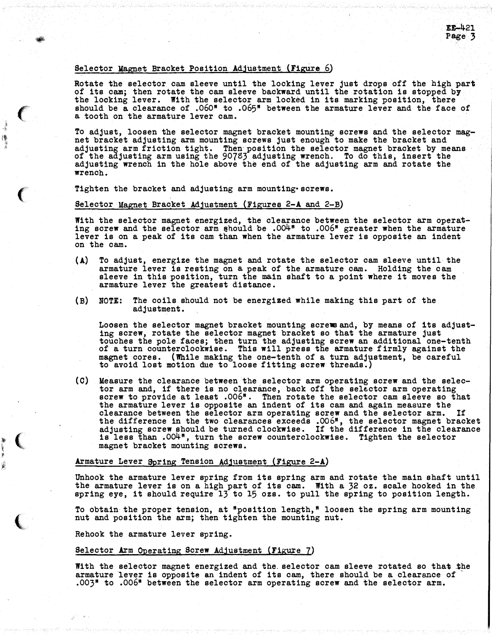### Selector Magnet Bracket Position Adjustment (Figure 6)

•

 $\big($ 

₩

 $\big($ 

lter.<br>E

 $\epsilon$ 'f.  $\epsilon$ 

 $\left($ 

Rotate the selector cam sleeve until the locking lever just drops off the high part of its cam; then rotate the cam sleeve backward until the rotation is stopped by the locking lever. With the selector arm locked in its marking position, there should be a clearance of .060" to .065" between the armature lever and the face of a tooth on the armature lever cam.

To adjust, loosen the selector magnet bracket mounting screws and the selector magnet bracket adjusting arm mounting screws just enough to make the bracket and adjusting arm friction tight. Then position the selector magnet bracket by means of the adjusting arm using the 90783 adjusting wrench. To do this, insert the adjusting wrench in the hole above the end of the adjusting arm and rotate the wrench.

Tighten the bracket and adjusting arm mounting•screws.

### Selector Magnet Bracket Adjustment (Figures 2-A and 2-B)

With the selector magnet energized, the clearance between the selector arm operat-ing screw and the selector a�m should be .004" to .006" greater when the armature lever is on a peak of its cam than when the armature. lever is opposite an indent on the cam.

- (A) To adjust, energize the magnet and rotate the selector cam sleeve until the armature lever is resting on a peak of the armature cam. Holding the cam sleeve in this position, turn the main shaft to a point where it moves the armature lever the greatest distance.
- (B) NOTE: The coils should not be energized while making this part of the adjustment.

Loosen the selector magnet bracket mounting screwsand, by means of its adjusting screw, rotate the selector magnet bracket so that the armature just touches the pole faces; then turn the adjusting screw an additional one-tenth of a turn counterclockwise. This will press the armature f irmly against the magnet cores. (While making the one-tenth of a turn adjustment, be careful to avoid lost motion due to loose fitting screw threads.)

(C) Measure the clearance between the selector arm operating screw and the selector arm and, if there is no clearance, back off the sel�ctor arm operating screw to provide at least .006". Then rotate the selector cam sleeve so that the armature lever is opposite an indent of its cam and again measure the clearance between the selector arm operating screw and the selector arm. If the difference in the two clearances exceeds .006", the selector magnet bracket adjusting screw should be turned clockwise. If the difference in the clearance is less �han .004", turn the screw counterclockwise. Tighten the selector magnet bracket mounting screws.

#### Armature Lever Spring Tension Adjustment (Figure 2-A)

Unhook the armature lever spring from its spring arm and rotate the main shaft until the armature lever is on a high part of its cam. With a 32 oz. scale hooked in the spring eye, it should require 13 to 15 ozs. to pull the spring to position length.

To obtain the proper tension, at "position length," loosen the spring arm mounting nut and position the arm; then tighten the mounting nut.

Rehook the armature lever spring.

#### Selector Arm Operating Screw Adjustment (Figure 7)

With the selector magnet energized and the. selector cam sleeve rotated so that the armature lever is opposite an indent of its cam, there should be a clearance of .003" to .006" between the selector arm operating screw and the selector arm.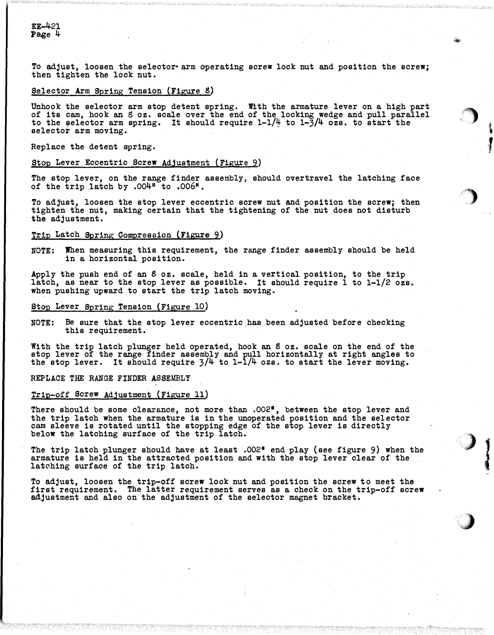EE-421 Page 4

To adjust, loosen the selector• arm operating screw lock nut and position the screw; then tighten the lock nut.

·-

.f�

.,  $\boldsymbol{J}$  .

)

;)

1 '

**And (40)** ,,

## Selector Arm Spring Tension (Figure 8)

Unhook the selector arm stop detent spring. With the armature lever on a high part of its cam, hook an 8 oz. scale over the end of the locking wedge and pull parallel to the selector arm spring. It should require  $1-1/\frac{1}{2}$  to  $1-3/\frac{1}{2}$  ozs. to start the selector arm moving.

Replace the detent spring.

## Stop Lever Eccentric Screw Adjustment (Figure 9)

The stop lever, on the range finder assembly, should overtravel the latching face of the trip latch by .004" to .006".

To adjust, loosen the stop lever eccentric screw nut and position the screw; then tighten the nut, making certain that the tightening of the nut does not disturb the adjustment.

#### Trip Latch Spring Compression {Figure 9)

NOTE: When measuring this requirement, the range finder assembly should be held in a horizontal position.

Apply the push end of an 8 oz. scale, held in a vertical position, to the trip latch, as near to the stop lever as possible. It should require 1 to 1-1/2 ozs. when pushing upward to start the trip latch moving.

#### Stop Lever Spring Tension (Figure 10)

NOTE: Be sure that the stop lever eccentric has been adjusted before checking this requirement.

With the trip latch plunger held operated, hook an 8 oz. scale on the end of the stop lever of the range finder assembly and pull horizontally at right angles to the stop lever. It should require 3/4 to 1-1/4 ozs. to start the lever moving.

REPLACE THE RANGE FINDER ASSEMBLY

# Trip-off Screw Adjustment (Figure 11)

There should be some clearance, not more than .002<sup>#</sup>, between the stop lever and the trip latch when the armature is in the unoperated position and the sel ector cam sleeve is rotated until the stopping edge of the stop lever is directly below the latching surface of the trip latch.

The trip latch plunger should have at least .002<sup>#</sup> end play (see figure 9) when the armature is held in the attracted position and with the stop lever clear of the latching surface of the trip latch.

To adjust, loosen the trip-off screw look nut and position the screw to meet the first requirement. The latter requirement serves as a check on the trip-off screw adjustment and also on the adjustment of the selector magnet bracket.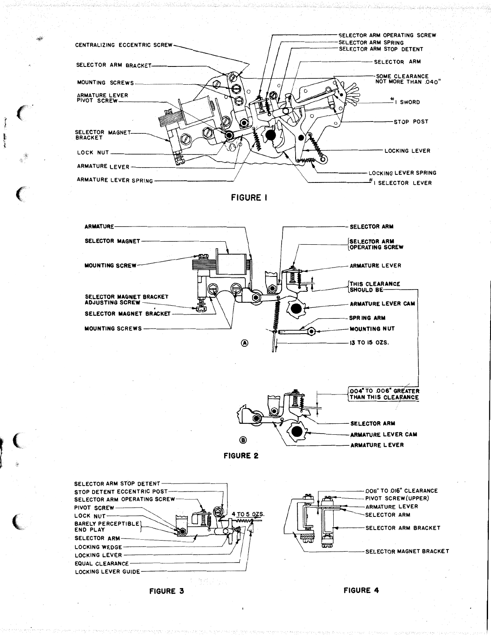











FIGURE 3

 $\hat{a}_i$ 

**FIGURE 4**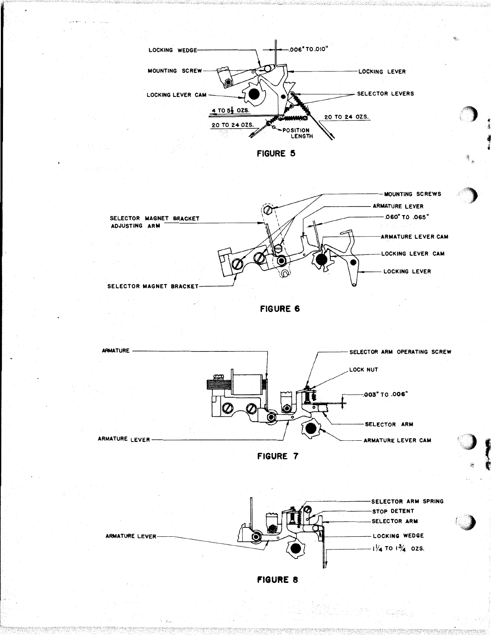

 $\mathcal{L}^{(1)}_{\mathcal{L}^{(1)}_{\mathcal{L}^{(1)}}}$  .

n (Balanga)













;C)

I'

**Box 1999** 

 $-$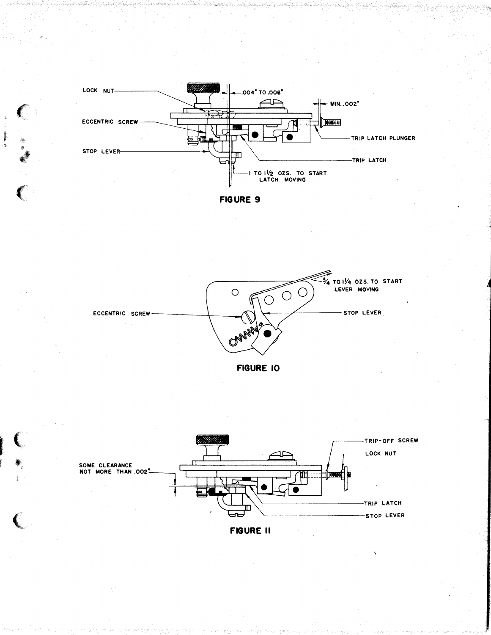